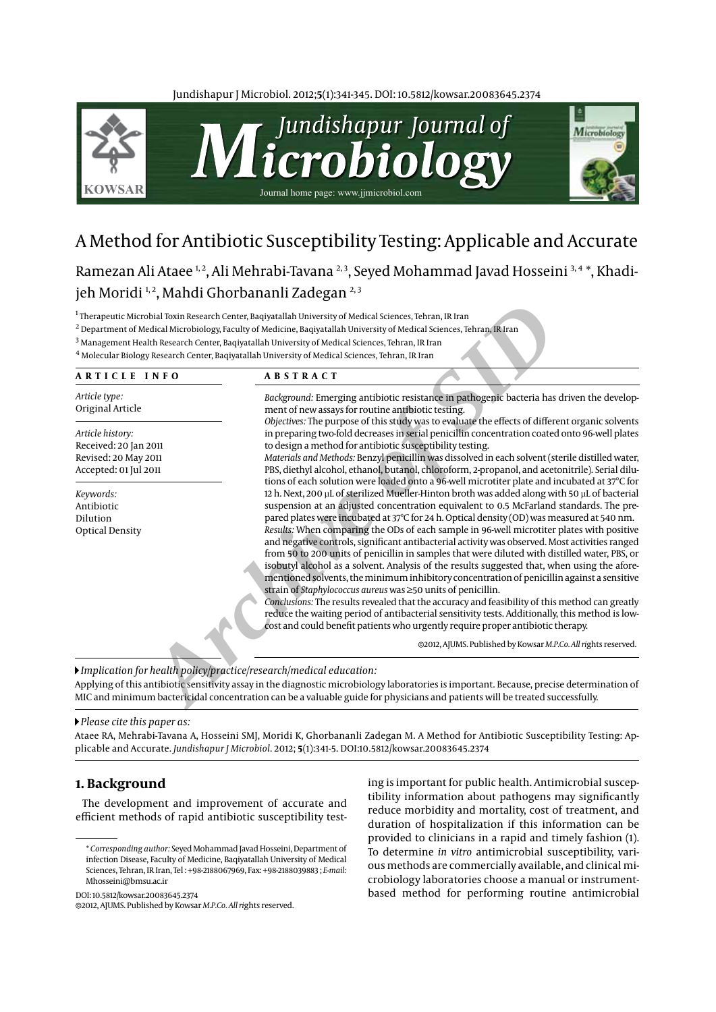Jundishapur J Microbiol. 2012;**5**(1):341-345. DOI: 10.5812/kowsar.20083645.2374



# A Method for Antibiotic Susceptibility Testing: Applicable and Accurate

Ramezan Ali Ataee<sup>1,2</sup>, Ali Mehrabi-Tavana<sup>2,3</sup>, Seyed Mohammad Javad Hosseini<sup>3,4</sup>\*, Khadijeh Moridi<sup>1,2</sup>, Mahdi Ghorbananli Zadegan<sup>2,3</sup>

| <b>ARTICLE INFO</b>               | <b>ABSTRACT</b>                                                                                                                                                                                  |
|-----------------------------------|--------------------------------------------------------------------------------------------------------------------------------------------------------------------------------------------------|
| Article type:<br>Original Article | Background: Emerging antibiotic resistance in pathogenic bacteria has driven the develop-<br>ment of new assays for routine antibiotic testing.                                                  |
| Article history:                  | Objectives: The purpose of this study was to evaluate the effects of different organic solvents<br>in preparing two-fold decreases in serial penicillin concentration coated onto 96-well plates |
| Received: 20 Jan 2011             | to design a method for antibiotic susceptibility testing.                                                                                                                                        |
| Revised: 20 May 2011              | Materials and Methods: Benzyl penicillin was dissolved in each solvent (sterile distilled water,                                                                                                 |
| Accepted: 01 Jul 2011             | PBS, diethyl alcohol, ethanol, butanol, chloroform, 2-propanol, and acetonitrile). Serial dilu-                                                                                                  |
|                                   | tions of each solution were loaded onto a 96-well microtiter plate and incubated at 37°C for                                                                                                     |
| Keywords:                         | 12 h. Next, 200 µL of sterilized Mueller-Hinton broth was added along with 50 µL of bacterial<br>suspension at an adjusted concentration equivalent to 0.5 McFarland standards. The pre-         |
| Antibiotic<br>Dilution            | pared plates were incubated at 37°C for 24 h. Optical density (OD) was measured at 540 nm.                                                                                                       |
| <b>Optical Density</b>            | Results: When comparing the ODs of each sample in 96-well microtiter plates with positive                                                                                                        |
|                                   | and negative controls, significant antibacterial activity was observed. Most activities ranged                                                                                                   |
|                                   | from 50 to 200 units of penicillin in samples that were diluted with distilled water, PBS, or                                                                                                    |
|                                   | isobutyl alcohol as a solvent. Analysis of the results suggested that, when using the afore-                                                                                                     |
|                                   | mentioned solvents, the minimum inhibitory concentration of penicillin against a sensitive                                                                                                       |
|                                   | strain of Staphylococcus aureus was ≥50 units of penicillin.                                                                                                                                     |
|                                   | Conclusions: The results revealed that the accuracy and feasibility of this method can greatly                                                                                                   |
|                                   | reduce the waiting period of antibacterial sensitivity tests. Additionally, this method is low-                                                                                                  |
|                                   | cost and could benefit patients who urgently require proper antibiotic therapy.                                                                                                                  |
|                                   | @2012, AJUMS. Published by Kowsar M.P.Co. All rights reserved.                                                                                                                                   |

*Please cite this paper as:* 

Ataee RA, Mehrabi-Tavana A, Hosseini SMJ, Moridi K, Ghorbananli Zadegan M. A Method for Antibiotic Susceptibility Testing: Applicable and Accurate. *Jundishapur J Microbiol*. 2012; **5**(1):341-5. DOI:10.5812/kowsar.20083645.2374

# **1. Background**

The development and improvement of accurate and efficient methods of rapid antibiotic susceptibility test-

\* *Corresponding author:* Seyed Mohammad Javad Hosseini, Department of infection Disease, Faculty of Medicine, Baqiyatallah University of Medical Sciences, Tehran, IR Iran, Tel : +98-2188067969, Fax: +98-2188039883 ; *E-mail:* Mhosseini@bmsu.ac.ir

DOI: 10.5812/kowsar.20083645.2374

ing is important for public health. Antimicrobial susceptibility information about pathogens may significantly reduce morbidity and mortality, cost of treatment, and duration of hospitalization if this information can be provided to clinicians in a rapid and timely fashion (1). To determine *in vitro* antimicrobial susceptibility, various methods are commercially available, and clinical microbiology laboratories choose a manual or instrumentbased method for performing routine antimicrobial

<sup>c</sup> 2012, AJUMS. Published by Kowsar *M.P.Co. All ri*ghts reserved.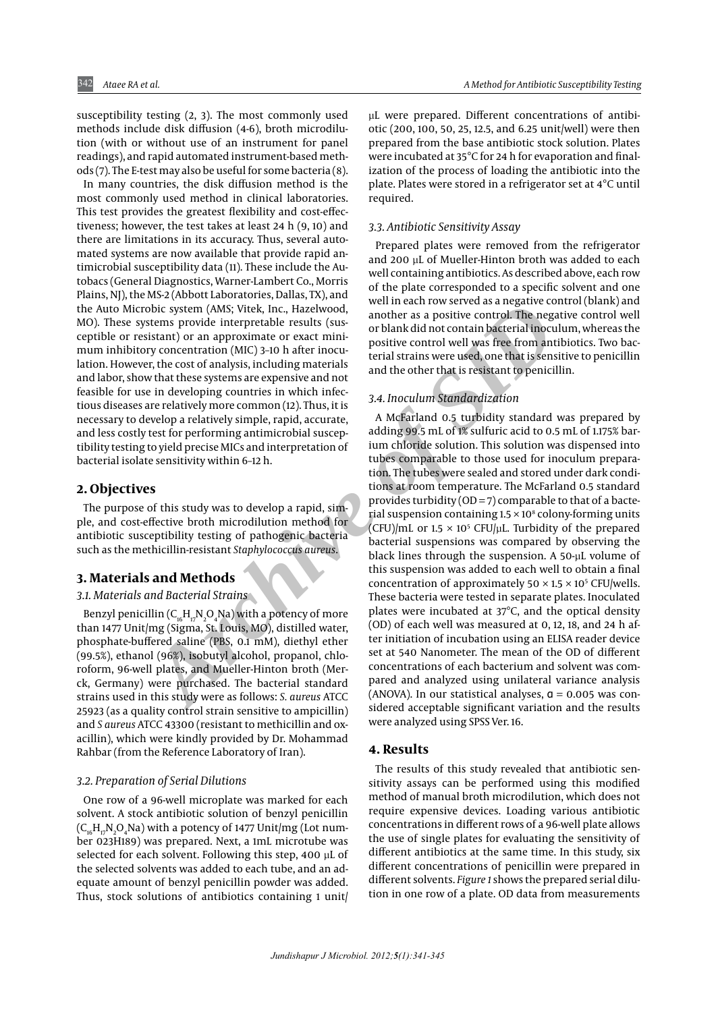susceptibility testing (2, 3). The most commonly used methods include disk diffusion (4-6), broth microdilution (with or without use of an instrument for panel readings), and rapid automated instrument-based methods (7). The E-test may also be useful for some bacteria (8).

In many countries, the disk diffusion method is the most commonly used method in clinical laboratories. This test provides the greatest flexibility and cost-effectiveness; however, the test takes at least 24 h (9, 10) and there are limitations in its accuracy. Thus, several automated systems are now available that provide rapid antimicrobial susceptibility data (11). These include the Autobacs (General Diagnostics, Warner-Lambert Co., Morris Plains, NJ), the MS-2 (Abbott Laboratories, Dallas, TX), and the Auto Microbic system (AMS; Vitek, Inc., Hazelwood, MO). These systems provide interpretable results (susceptible or resistant) or an approximate or exact minimum inhibitory concentration (MIC) 3–10 h after inoculation. However, the cost of analysis, including materials and labor, show that these systems are expensive and not feasible for use in developing countries in which infectious diseases are relatively more common (12). Thus, it is necessary to develop a relatively simple, rapid, accurate, and less costly test for performing antimicrobial susceptibility testing to yield precise MICs and interpretation of bacterial isolate sensitivity within 6–12 h.

#### **2. Objectives**

The purpose of this study was to develop a rapid, simple, and cost-effective broth microdilution method for antibiotic susceptibility testing of pathogenic bacteria such as the methicillin-resistant *Staphylococcus aureus* .

# **3. Materials and Methods**

#### *3.1. Materials and Bacterial Strains*

Benzyl penicillin ( $\mathsf{C}_{\mathsf{16}}\mathsf{H}_{\mathsf{17}}\mathsf{N}_{\mathsf{2}}\mathsf{O}_{\mathsf{4}}\mathsf{Na})$  with a potency of more than 1477 Unit/mg (Sigma, St. Louis, MO), distilled water, phosphate-buffered saline (PBS, 0.1 mM), diethyl ether (99.5%), ethanol (96%), isobutyl alcohol, propanol, chloroform, 96-well plates, and Mueller-Hinton broth (Merck, Germany) were purchased. The bacterial standard strains used in this study were as follows: *S. aureus* ATCC 25923 (as a quality control strain sensitive to ampicillin) and *S aureus* ATCC 43300 (resistant to methicillin and oxacillin), which were kindly provided by Dr. Mohammad Rahbar (from the Reference Laboratory of Iran).

#### *3.2. Preparation of Serial Dilutions*

One row of a 96-well microplate was marked for each solvent. A stock antibiotic solution of benzyl penicillin  $(\mathsf{C}_{\mathsf{16}}\mathsf{H}_{\mathsf{17}}\mathsf{N}_2\mathsf{O}_4\mathsf{N}\mathsf{a})$  with a potency of 1477 Unit/mg (Lot number 023H189) was prepared. Next, a 1mL microtube was selected for each solvent. Following this step, 400 µL of the selected solvents was added to each tube, and an adequate amount of benzyl penicillin powder was added. Thus, stock solutions of antibiotics containing 1 unit/ µL were prepared. Different concentrations of antibiotic (200, 100, 50, 25, 12.5, and 6.25 unit/well) were then prepared from the base antibiotic stock solution. Plates were incubated at 35°C for 24 h for evaporation and finalization of the process of loading the antibiotic into the plate. Plates were stored in a refrigerator set at 4°C until required.

#### *3.3. Antibiotic Sensitivity Assay*

Prepared plates were removed from the refrigerator and 200 µL of Mueller-Hinton broth was added to each well containing antibiotics. As described above, each row of the plate corresponded to a specific solvent and one well in each row served as a negative control (blank) and another as a positive control. The negative control well or blank did not contain bacterial inoculum, whereas the positive control well was free from antibiotics. Two bacterial strains were used, one that is sensitive to penicillin and the other that is resistant to penicillin.

#### *3.4. Inoculum Standardization*

volume provide interpretation eraction weiver as a negative of the measure of sterns provide interpretation contain and measure of the measure of the measure of the measurem of MUC) 3-10 h after inocular the control with d A McFarland 0.5 turbidity standard was prepared by adding 99.5 mL of 1% sulfuric acid to 0.5 mL of 1.175% barium chloride solution. This solution was dispensed into tubes comparable to those used for inoculum preparation. The tubes were sealed and stored under dark conditions at room temperature. The McFarland 0.5 standard provides turbidity ( $OD = 7$ ) comparable to that of a bacterial suspension containing  $1.5 \times 10^8$  colony-forming units (CFU)/mL or  $1.5 \times 10^5$  CFU/µL. Turbidity of the prepared bacterial suspensions was compared by observing the black lines through the suspension. A 50-µL volume of this suspension was added to each well to obtain a final concentration of approximately  $50 \times 1.5 \times 10^5$  CFU/wells. These bacteria were tested in separate plates. Inoculated plates were incubated at 37°C, and the optical density (OD) of each well was measured at 0, 12, 18, and 24 h after initiation of incubation using an ELISA reader device set at 540 Nanometer. The mean of the OD of different concentrations of each bacterium and solvent was compared and analyzed using unilateral variance analysis (ANOVA). In our statistical analyses, α = 0.005 was considered acceptable significant variation and the results were analyzed using SPSS Ver. 16.

### **4. Results**

The results of this study revealed that antibiotic sensitivity assays can be performed using this modified method of manual broth microdilution, which does not require expensive devices. Loading various antibiotic concentrations in different rows of a 96-well plate allows the use of single plates for evaluating the sensitivity of different antibiotics at the same time. In this study, six different concentrations of penicillin were prepared in different solvents. *Figure 1* shows the prepared serial dilution in one row of a plate. OD data from measurements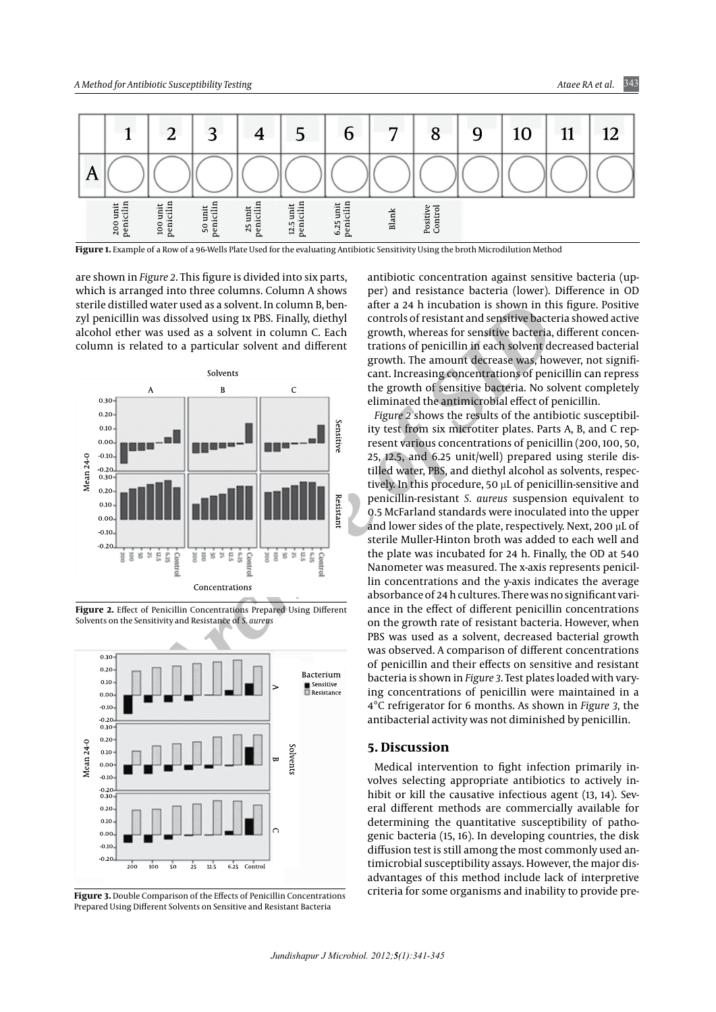

**Figure 1.** Example of a Row of a 96-Wells Plate Used for the evaluating Antibiotic Sensitivity Using the broth Microdilution Method

are shown in *Figure 2*. This figure is divided into six parts, which is arranged into three columns. Column A shows sterile distilled water used as a solvent. In column B, benzyl penicillin was dissolved using 1x PBS. Finally, diethyl alcohol ether was used as a solvent in column C. Each column is related to a particular solvent and different



**Figure 2.** Effect of Penicillin Concentrations Prepared Using Different



antibiotic concentration against sensitive bacteria (upper) and resistance bacteria (lower). Difference in OD after a 24 h incubation is shown in this figure. Positive controls of resistant and sensitive bacteria showed active growth, whereas for sensitive bacteria, different concentrations of penicillin in each solvent decreased bacterial growth. The amount decrease was, however, not significant. Increasing concentrations of penicillin can repress the growth of sensitive bacteria. No solvent completely eliminated the antimicrobial effect of penicillin.

**A** were tweed as a solvent. In column 16, bender a 24 h incubation is shown in this three and the plate and interest in the plate state of Singlet and the plate state of Singlet and the plate state of the plate and of the *Figure 2* shows the results of the antibiotic susceptibility test from six microtiter plates. Parts A, B, and C represent various concentrations of penicillin (200, 100, 50, 25, 12.5, and 6.25 unit/well) prepared using sterile distilled water, PBS, and diethyl alcohol as solvents, respectively. In this procedure, 50 µL of penicillin-sensitive and penicillin-resistant *S. aureus* suspension equivalent to 0.5 McFarland standards were inoculated into the upper and lower sides of the plate, respectively. Next, 200 µL of sterile Muller-Hinton broth was added to each well and the plate was incubated for 24 h. Finally, the OD at 540 Nanometer was measured. The x-axis represents penicillin concentrations and the y-axis indicates the average absorbance of 24 h cultures. There was no significant variance in the effect of different penicillin concentrations on the growth rate of resistant bacteria. However, when PBS was used as a solvent, decreased bacterial growth was observed. A comparison of different concentrations of penicillin and their effects on sensitive and resistant bacteria is shown in *Figure 3*. Test plates loaded with varying concentrations of penicillin were maintained in a 4°C refrigerator for 6 months. As shown in *Figure 3*, the antibacterial activity was not diminished by penicillin.

#### **5. Discussion**

Medical intervention to fight infection primarily involves selecting appropriate antibiotics to actively inhibit or kill the causative infectious agent (13, 14). Several different methods are commercially available for determining the quantitative susceptibility of pathogenic bacteria (15, 16). In developing countries, the disk diffusion test is still among the most commonly used antimicrobial susceptibility assays. However, the major disadvantages of this method include lack of interpretive criteria for some organisms and inability to provide pre- **Figure 3.** Double Comparison of the Effects of Penicillin Concentrations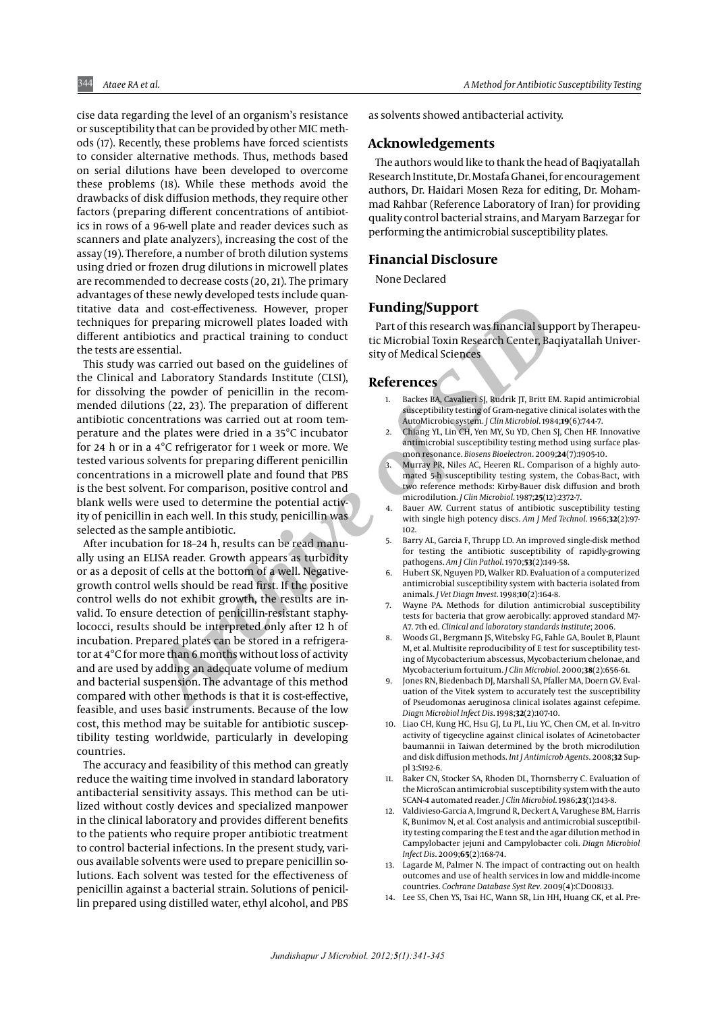cise data regarding the level of an organism's resistance or susceptibility that can be provided by other MIC methods (17). Recently, these problems have forced scientists to consider alternative methods. Thus, methods based on serial dilutions have been developed to overcome these problems (18). While these methods avoid the drawbacks of disk diffusion methods, they require other factors (preparing different concentrations of antibiotics in rows of a 96-well plate and reader devices such as scanners and plate analyzers), increasing the cost of the assay (19). Therefore, a number of broth dilution systems using dried or frozen drug dilutions in microwell plates are recommended to decrease costs (20, 21). The primary advantages of these newly developed tests include quantitative data and cost-effectiveness. However, proper techniques for preparing microwell plates loaded with different antibiotics and practical training to conduct the tests are essential.

and cost-effectiveness. However, proper<br>
properning microwell plates loaded with antorichis research was financial support<br>
into this metal in the metal in the metal in the state of this measurement was financial<br>
Medical This study was carried out based on the guidelines of the Clinical and Laboratory Standards Institute (CLSI), for dissolving the powder of penicillin in the recommended dilutions (22, 23). The preparation of different antibiotic concentrations was carried out at room temperature and the plates were dried in a 35°C incubator for 24 h or in a 4°C refrigerator for 1 week or more. We tested various solvents for preparing different penicillin concentrations in a microwell plate and found that PBS is the best solvent. For comparison, positive control and blank wells were used to determine the potential activity of penicillin in each well. In this study, penicillin was selected as the sample antibiotic.

After incubation for 18–24 h, results can be read manually using an ELISA reader. Growth appears as turbidity or as a deposit of cells at the bottom of a well. Negativegrowth control wells should be read first. If the positive control wells do not exhibit growth, the results are invalid. To ensure detection of penicillin-resistant staphylococci, results should be interpreted only after 12 h of incubation. Prepared plates can be stored in a refrigerator at 4°C for more than 6 months without loss of activity and are used by adding an adequate volume of medium and bacterial suspension. The advantage of this method compared with other methods is that it is cost-effective, feasible, and uses basic instruments. Because of the low cost, this method may be suitable for antibiotic susceptibility testing worldwide, particularly in developing countries.

The accuracy and feasibility of this method can greatly reduce the waiting time involved in standard laboratory antibacterial sensitivity assays. This method can be utilized without costly devices and specialized manpower in the clinical laboratory and provides different benefits to the patients who require proper antibiotic treatment to control bacterial infections. In the present study, various available solvents were used to prepare penicillin solutions. Each solvent was tested for the effectiveness of penicillin against a bacterial strain. Solutions of penicillin prepared using distilled water, ethyl alcohol, and PBS

as solvents showed antibacterial activity.

#### **Acknowledgements**

The authors would like to thank the head of Baqiyatallah Research Institute, Dr. Mostafa Ghanei, for encouragement authors, Dr. Haidari Mosen Reza for editing, Dr. Mohammad Rahbar (Reference Laboratory of Iran) for providing quality control bacterial strains, and Maryam Barzegar for performing the antimicrobial susceptibility plates.

#### **Financial Disclosure**

None Declared

## **Funding/Support**

Part of this research was financial support by Therapeutic Microbial Toxin Research Center, Baqiyatallah University of Medical Sciences

#### **References**

- 1. Backes BA, Cavalieri SJ, Rudrik JT, Britt EM. Rapid antimicrobial susceptibility testing of Gram-negative clinical isolates with the AutoMicrobic system. *J Clin Microbiol*. 1984;**19**(6):744-7.
- 2. Chiang YL, Lin CH, Yen MY, Su YD, Chen SJ, Chen HF. Innovative antimicrobial susceptibility testing method using surface plasmon resonance. *Biosens Bioelectron*. 2009;**24**(7):1905-10.
- 3. Murray PR, Niles AC, Heeren RL. Comparison of a highly automated 5-h susceptibility testing system, the Cobas-Bact, with two reference methods: Kirby-Bauer disk diffusion and broth microdilution. *J Clin Microbiol*. 1987;**25**(12):2372-7.
- 4. Bauer AW. Current status of antibiotic susceptibility testing with single high potency discs. *Am J Med Technol*. 1966;**32**(2):97- 102.
- 5. Barry AL, Garcia F, Thrupp LD. An improved single-disk method for testing the antibiotic susceptibility of rapidly-growing pathogens. *Am J Clin Pathol*. 1970;**53**(2):149-58.
- 6. Hubert SK, Nguyen PD, Walker RD. Evaluation of a computerized antimicrobial susceptibility system with bacteria isolated from animals. *J Vet Diagn Invest*. 1998;**10**(2):164-8.
- 7. Wayne PA. Methods for dilution antimicrobial susceptibility tests for bacteria that grow aerobically: approved standard M7- A7. 7th ed. *Clinical and laboratory standards institute*; 2006.
- 8. Woods GL, Bergmann JS, Witebsky FG, Fahle GA, Boulet B, Plaunt M, et al. Multisite reproducibility of E test for susceptibility testing of Mycobacterium abscessus, Mycobacterium chelonae, and Mycobacterium fortuitum. *J Clin Microbiol*. 2000;**38**(2):656-61.
- Jones RN, Biedenbach DJ, Marshall SA, Pfaller MA, Doern GV. Evaluation of the Vitek system to accurately test the susceptibility of Pseudomonas aeruginosa clinical isolates against cefepime. *Diagn Microbiol Infect Dis*. 1998;**32**(2):107-10.
- 10. Liao CH, Kung HC, Hsu GJ, Lu PL, Liu YC, Chen CM, et al. In-vitro activity of tigecycline against clinical isolates of Acinetobacter baumannii in Taiwan determined by the broth microdilution and disk diffusion methods. *Int J Antimicrob Agents*. 2008;**32** Suppl 3:S192-6.
- Baker CN, Stocker SA, Rhoden DL, Thornsberry C. Evaluation of the MicroScan antimicrobial susceptibility system with the auto SCAN-4 automated reader. *J Clin Microbiol*. 1986;**23**(1):143-8.
- 12. Valdivieso-Garcia A, Imgrund R, Deckert A, Varughese BM, Harris K, Bunimov N, et al. Cost analysis and antimicrobial susceptibility testing comparing the E test and the agar dilution method in Campylobacter jejuni and Campylobacter coli. *Diagn Microbiol Infect Dis*. 2009;**65**(2):168-74.
- 13. Lagarde M, Palmer N. The impact of contracting out on health outcomes and use of health services in low and middle-income countries. *Cochrane Database Syst Rev*. 2009(4):CD008133.
- 14. Lee SS, Chen YS, Tsai HC, Wann SR, Lin HH, Huang CK, et al. Pre-